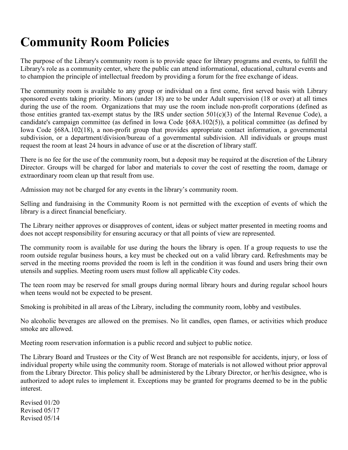## **Community Room Policies**

The purpose of the Library's community room is to provide space for library programs and events, to fulfill the Library's role as a community center, where the public can attend informational, educational, cultural events and to champion the principle of intellectual freedom by providing a forum for the free exchange of ideas.

The community room is available to any group or individual on a first come, first served basis with Library sponsored events taking priority. Minors (under 18) are to be under Adult supervision (18 or over) at all times during the use of the room. Organizations that may use the room include non-profit corporations (defined as those entities granted tax-exempt status by the IRS under section  $501(c)(3)$  of the Internal Revenue Code), a candidate's campaign committee (as defined in Iowa Code §68A.102(5)), a political committee (as defined by Iowa Code §68A.102(18), a non-profit group that provides appropriate contact information, a governmental subdivision, or a department/division/bureau of a governmental subdivision. All individuals or groups must request the room at least 24 hours in advance of use or at the discretion of library staff.

There is no fee for the use of the community room, but a deposit may be required at the discretion of the Library Director. Groups will be charged for labor and materials to cover the cost of resetting the room, damage or extraordinary room clean up that result from use.

Admission may not be charged for any events in the library's community room.

Selling and fundraising in the Community Room is not permitted with the exception of events of which the library is a direct financial beneficiary.

The Library neither approves or disapproves of content, ideas or subject matter presented in meeting rooms and does not accept responsibility for ensuring accuracy or that all points of view are represented.

The community room is available for use during the hours the library is open. If a group requests to use the room outside regular business hours, a key must be checked out on a valid library card. Refreshments may be served in the meeting rooms provided the room is left in the condition it was found and users bring their own utensils and supplies. Meeting room users must follow all applicable City codes.

The teen room may be reserved for small groups during normal library hours and during regular school hours when teens would not be expected to be present.

Smoking is prohibited in all areas of the Library, including the community room, lobby and vestibules.

No alcoholic beverages are allowed on the premises. No lit candles, open flames, or activities which produce smoke are allowed.

Meeting room reservation information is a public record and subject to public notice.

The Library Board and Trustees or the City of West Branch are not responsible for accidents, injury, or loss of individual property while using the community room. Storage of materials is not allowed without prior approval from the Library Director. This policy shall be administered by the Library Director, or her/his designee, who is authorized to adopt rules to implement it. Exceptions may be granted for programs deemed to be in the public interest.

Revised 01/20 Revised 05/17 Revised 05/14